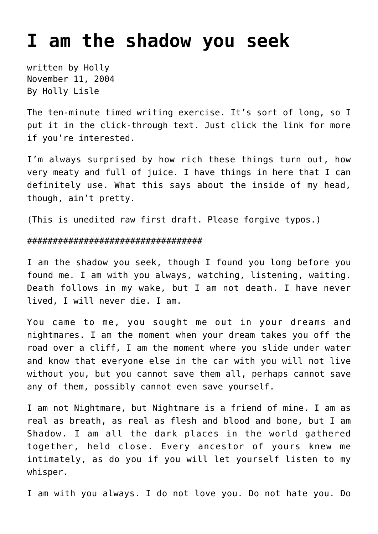## **[I am the shadow you seek](https://hollylisle.com/i-am-the-shadow-you-seek/)**

written by Holly November 11, 2004 [By Holly Lisle](https://hollylisle.com)

The ten-minute timed writing exercise. It's sort of long, so I put it in the click-through text. Just click the link for more if you're interested.

I'm always surprised by how rich these things turn out, how very meaty and full of juice. I have things in here that I can definitely use. What this says about the inside of my head, though, ain't pretty.

(This is unedited raw first draft. Please forgive typos.)

## ##################################

I am the shadow you seek, though I found you long before you found me. I am with you always, watching, listening, waiting. Death follows in my wake, but I am not death. I have never lived, I will never die. I am.

You came to me, you sought me out in your dreams and nightmares. I am the moment when your dream takes you off the road over a cliff, I am the moment where you slide under water and know that everyone else in the car with you will not live without you, but you cannot save them all, perhaps cannot save any of them, possibly cannot even save yourself.

I am not Nightmare, but Nightmare is a friend of mine. I am as real as breath, as real as flesh and blood and bone, but I am Shadow. I am all the dark places in the world gathered together, held close. Every ancestor of yours knew me intimately, as do you if you will let yourself listen to my whisper.

I am with you always. I do not love you. Do not hate you. Do